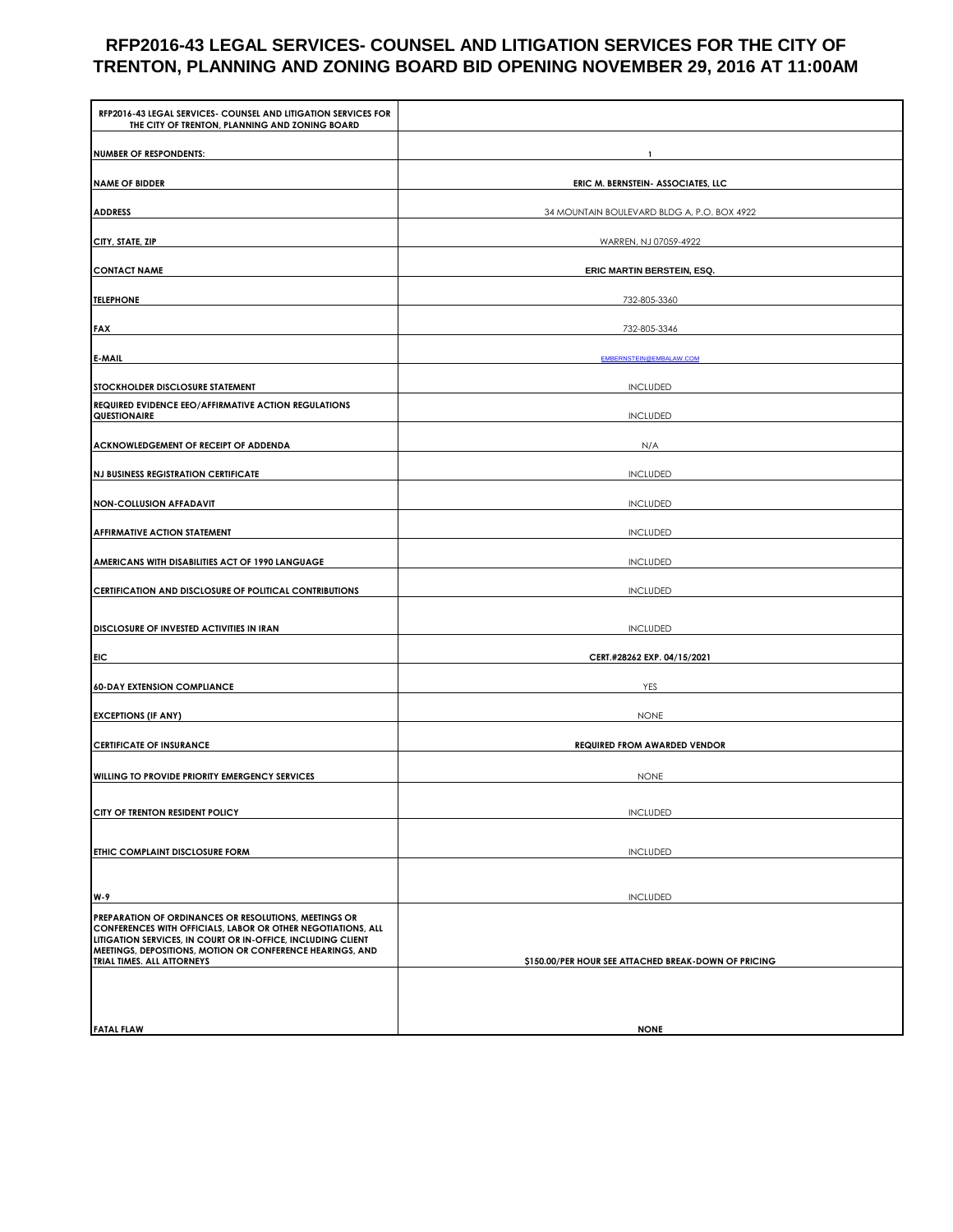# **RFP2016-43 LEGAL SERVICES- COUNSEL AND LITIGATION SERVICES FOR THE CITY OF TRENTON, PLANNING AND ZONING BOARD BID OPENING NOVEMBER 29, 2016 AT 11:00AM**

| RFP2016-43 LEGAL SERVICES- COUNSEL AND LITIGATION SERVICES FOR<br>THE CITY OF TRENTON, PLANNING AND ZONING BOARD                                                                                                                                                                 |                                                      |  |
|----------------------------------------------------------------------------------------------------------------------------------------------------------------------------------------------------------------------------------------------------------------------------------|------------------------------------------------------|--|
| <b>NUMBER OF RESPONDENTS:</b>                                                                                                                                                                                                                                                    |                                                      |  |
| <b>NAME OF BIDDER</b>                                                                                                                                                                                                                                                            | ERIC M. BERNSTEIN- ASSOCIATES, LLC                   |  |
| <b>ADDRESS</b>                                                                                                                                                                                                                                                                   | 34 MOUNTAIN BOULEVARD BLDG A, P.O. BOX 4922          |  |
| CITY, STATE, ZIP                                                                                                                                                                                                                                                                 | WARREN, NJ 07059-4922                                |  |
| <b>CONTACT NAME</b>                                                                                                                                                                                                                                                              | ERIC MARTIN BERSTEIN, ESQ.                           |  |
| <b>TELEPHONE</b>                                                                                                                                                                                                                                                                 | 732-805-3360                                         |  |
| <b>FAX</b>                                                                                                                                                                                                                                                                       | 732-805-3346                                         |  |
| E-MAIL                                                                                                                                                                                                                                                                           | EMBERNSTEIN@EMBALAW.COM                              |  |
| STOCKHOLDER DISCLOSURE STATEMENT                                                                                                                                                                                                                                                 | <b>INCLUDED</b>                                      |  |
| REQUIRED EVIDENCE EEO/AFFIRMATIVE ACTION REGULATIONS<br>QUESTIONAIRE                                                                                                                                                                                                             | <b>INCLUDED</b>                                      |  |
| ACKNOWLEDGEMENT OF RECEIPT OF ADDENDA                                                                                                                                                                                                                                            | N/A                                                  |  |
| <b>NJ BUSINESS REGISTRATION CERTIFICATE</b>                                                                                                                                                                                                                                      | <b>INCLUDED</b>                                      |  |
| <b>NON-COLLUSION AFFADAVIT</b>                                                                                                                                                                                                                                                   | <b>INCLUDED</b>                                      |  |
| <b>AFFIRMATIVE ACTION STATEMENT</b>                                                                                                                                                                                                                                              | <b>INCLUDED</b>                                      |  |
| AMERICANS WITH DISABILITIES ACT OF 1990 LANGUAGE                                                                                                                                                                                                                                 | <b>INCLUDED</b>                                      |  |
| CERTIFICATION AND DISCLOSURE OF POLITICAL CONTRIBUTIONS                                                                                                                                                                                                                          | <b>INCLUDED</b>                                      |  |
| DISCLOSURE OF INVESTED ACTIVITIES IN IRAN                                                                                                                                                                                                                                        | <b>INCLUDED</b>                                      |  |
| <b>EIC</b>                                                                                                                                                                                                                                                                       | CERT.#28262 EXP. 04/15/2021                          |  |
| <b>60-DAY EXTENSION COMPLIANCE</b>                                                                                                                                                                                                                                               | YES                                                  |  |
| <b>EXCEPTIONS (IF ANY)</b>                                                                                                                                                                                                                                                       | <b>NONE</b>                                          |  |
| <b>CERTIFICATE OF INSURANCE</b>                                                                                                                                                                                                                                                  | <b>REQUIRED FROM AWARDED VENDOR</b>                  |  |
| WILLING TO PROVIDE PRIORITY EMERGENCY SERVICES                                                                                                                                                                                                                                   | <b>NONE</b>                                          |  |
|                                                                                                                                                                                                                                                                                  |                                                      |  |
| CITY OF TRENTON RESIDENT POLICY                                                                                                                                                                                                                                                  | <b>INCLUDED</b>                                      |  |
| ETHIC COMPLAINT DISCLOSURE FORM                                                                                                                                                                                                                                                  | <b>INCLUDED</b>                                      |  |
|                                                                                                                                                                                                                                                                                  |                                                      |  |
| W-9                                                                                                                                                                                                                                                                              | <b>INCLUDED</b>                                      |  |
| PREPARATION OF ORDINANCES OR RESOLUTIONS, MEETINGS OR<br>CONFERENCES WITH OFFICIALS, LABOR OR OTHER NEGOTIATIONS, ALL<br>LITIGATION SERVICES, IN COURT OR IN-OFFICE, INCLUDING CLIENT<br>MEETINGS, DEPOSITIONS, MOTION OR CONFERENCE HEARINGS, AND<br>TRIAL TIMES. ALL ATTORNEYS | \$150.00/PER HOUR SEE ATTACHED BREAK-DOWN OF PRICING |  |
|                                                                                                                                                                                                                                                                                  |                                                      |  |
| <b>FATAL FLAW</b>                                                                                                                                                                                                                                                                | <b>NONE</b>                                          |  |